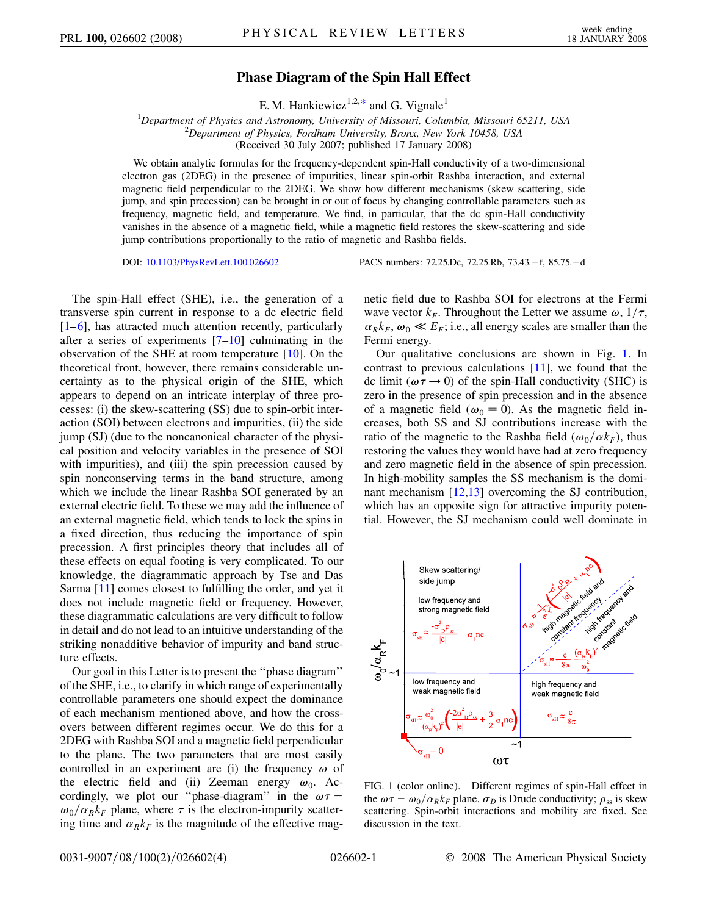## **Phase Diagram of the Spin Hall Effect**

E. M. Hankiewicz<sup>1,2,[\\*](#page-3-0)</sup> and G. Vignale<sup>1</sup>

<span id="page-0-1"></span><sup>1</sup>Department of Physics and Astronomy, University of Missouri, Columbia, Missouri 65211, USA<br><sup>2</sup>Department of Physics, Eordham University, Brow, New York 10458, USA *Department of Physics, Fordham University, Bronx, New York 10458, USA* (Received 30 July 2007; published 17 January 2008)

We obtain analytic formulas for the frequency-dependent spin-Hall conductivity of a two-dimensional electron gas (2DEG) in the presence of impurities, linear spin-orbit Rashba interaction, and external magnetic field perpendicular to the 2DEG. We show how different mechanisms (skew scattering, side jump, and spin precession) can be brought in or out of focus by changing controllable parameters such as frequency, magnetic field, and temperature. We find, in particular, that the dc spin-Hall conductivity vanishes in the absence of a magnetic field, while a magnetic field restores the skew-scattering and side jump contributions proportionally to the ratio of magnetic and Rashba fields.

DOI: [10.1103/PhysRevLett.100.026602](http://dx.doi.org/10.1103/PhysRevLett.100.026602) PACS numbers: 72.25.Dc, 72.25.Rb, 73.43.f, 85.75.d

The spin-Hall effect (SHE), i.e., the generation of a transverse spin current in response to a dc electric field  $[1-6]$  $[1-6]$  $[1-6]$ , has attracted much attention recently, particularly after a series of experiments  $[7–10]$  $[7–10]$  $[7–10]$  $[7–10]$  $[7–10]$  culminating in the observation of the SHE at room temperature [\[10\]](#page-3-4). On the theoretical front, however, there remains considerable uncertainty as to the physical origin of the SHE, which appears to depend on an intricate interplay of three processes: (i) the skew-scattering (SS) due to spin-orbit interaction (SOI) between electrons and impurities, (ii) the side jump (SJ) (due to the noncanonical character of the physical position and velocity variables in the presence of SOI with impurities), and (iii) the spin precession caused by spin nonconserving terms in the band structure, among which we include the linear Rashba SOI generated by an external electric field. To these we may add the influence of an external magnetic field, which tends to lock the spins in a fixed direction, thus reducing the importance of spin precession. A first principles theory that includes all of these effects on equal footing is very complicated. To our knowledge, the diagrammatic approach by Tse and Das Sarma [\[11\]](#page-3-5) comes closest to fulfilling the order, and yet it does not include magnetic field or frequency. However, these diagrammatic calculations are very difficult to follow in detail and do not lead to an intuitive understanding of the striking nonadditive behavior of impurity and band structure effects.

Our goal in this Letter is to present the ''phase diagram'' of the SHE, i.e., to clarify in which range of experimentally controllable parameters one should expect the dominance of each mechanism mentioned above, and how the crossovers between different regimes occur. We do this for a 2DEG with Rashba SOI and a magnetic field perpendicular to the plane. The two parameters that are most easily controlled in an experiment are (i) the frequency  $\omega$  of the electric field and (ii) Zeeman energy  $\omega_0$ . Accordingly, we plot our "phase-diagram" in the  $\omega \tau$  –  $\omega_0/\alpha_R k_F$  plane, where  $\tau$  is the electron-impurity scattering time and  $\alpha_R k_F$  is the magnitude of the effective magnetic field due to Rashba SOI for electrons at the Fermi wave vector  $k_F$ . Throughout the Letter we assume  $\omega$ ,  $1/\tau$ ,  $\alpha_R k_F$ ,  $\omega_0 \ll E_F$ ; i.e., all energy scales are smaller than the Fermi energy.

Our qualitative conclusions are shown in Fig. [1](#page-0-0). In contrast to previous calculations [\[11](#page-3-5)], we found that the dc limit ( $\omega \tau \rightarrow 0$ ) of the spin-Hall conductivity (SHC) is zero in the presence of spin precession and in the absence of a magnetic field ( $\omega_0 = 0$ ). As the magnetic field increases, both SS and SJ contributions increase with the ratio of the magnetic to the Rashba field  $(\omega_0/\alpha k_F)$ , thus restoring the values they would have had at zero frequency and zero magnetic field in the absence of spin precession. In high-mobility samples the SS mechanism is the dominant mechanism [[12](#page-3-6),[13](#page-3-7)] overcoming the SJ contribution, which has an opposite sign for attractive impurity potential. However, the SJ mechanism could well dominate in

<span id="page-0-0"></span>

FIG. 1 (color online). Different regimes of spin-Hall effect in the  $\omega \tau - \omega_0 / \alpha_R k_F$  plane.  $\sigma_D$  is Drude conductivity;  $\rho_{ss}$  is skew scattering. Spin-orbit interactions and mobility are fixed. See discussion in the text.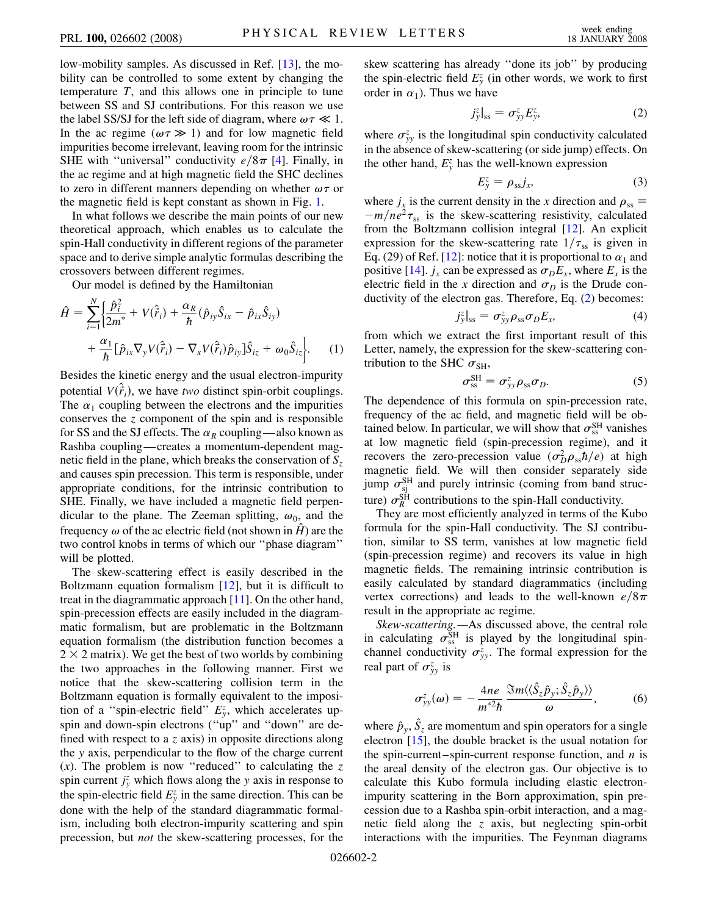low-mobility samples. As discussed in Ref. [\[13](#page-3-7)], the mobility can be controlled to some extent by changing the temperature *T*, and this allows one in principle to tune between SS and SJ contributions. For this reason we use the label SS/SJ for the left side of diagram, where  $\omega \tau \ll 1$ . In the ac regime ( $\omega \tau \gg 1$ ) and for low magnetic field impurities become irrelevant, leaving room for the intrinsic SHE with "universal" conductivity  $e/8\pi$  [\[4\]](#page-3-8). Finally, in the ac regime and at high magnetic field the SHC declines to zero in different manners depending on whether  $\omega \tau$  or the magnetic field is kept constant as shown in Fig. [1.](#page-0-0)

In what follows we describe the main points of our new theoretical approach, which enables us to calculate the spin-Hall conductivity in different regions of the parameter space and to derive simple analytic formulas describing the crossovers between different regimes.

Our model is defined by the Hamiltonian

<span id="page-1-2"></span>
$$
\hat{H} = \sum_{i=1}^{N} \left\{ \frac{\hat{p}_i^2}{2m^*} + V(\hat{\vec{r}}_i) + \frac{\alpha_R}{\hbar} (\hat{p}_{iy}\hat{S}_{ix} - \hat{p}_{ix}\hat{S}_{iy}) + \frac{\alpha_1}{\hbar} [\hat{p}_{ix}\nabla_y V(\hat{\vec{r}}_i) - \nabla_x V(\hat{\vec{r}}_i)\hat{p}_{iy}] \hat{S}_{iz} + \omega_0 \hat{S}_{iz} \right\}.
$$
\n(1)

Besides the kinetic energy and the usual electron-impurity potential  $V(\hat{r}_i)$ , we have *two* distinct spin-orbit couplings. The  $\alpha_1$  coupling between the electrons and the impurities conserves the *z* component of the spin and is responsible for SS and the SJ effects. The  $\alpha_R$  coupling—also known as Rashba coupling—creates a momentum-dependent magnetic field in the plane, which breaks the conservation of *Sz* and causes spin precession. This term is responsible, under appropriate conditions, for the intrinsic contribution to SHE. Finally, we have included a magnetic field perpendicular to the plane. The Zeeman splitting,  $\omega_0$ , and the frequency  $\omega$  of the ac electric field (not shown in *H*) are the two control knobs in terms of which our ''phase diagram'' will be plotted.

The skew-scattering effect is easily described in the Boltzmann equation formalism  $[12]$  $[12]$  $[12]$ , but it is difficult to treat in the diagrammatic approach [[11](#page-3-5)]. On the other hand, spin-precession effects are easily included in the diagrammatic formalism, but are problematic in the Boltzmann equation formalism (the distribution function becomes a  $2 \times 2$  matrix). We get the best of two worlds by combining the two approaches in the following manner. First we notice that the skew-scattering collision term in the Boltzmann equation is formally equivalent to the imposition of a "spin-electric field"  $E_y^z$ , which accelerates upspin and down-spin electrons (''up'' and ''down'' are defined with respect to a *z* axis) in opposite directions along the *y* axis, perpendicular to the flow of the charge current (*x*). The problem is now ''reduced'' to calculating the *z* spin current  $j_y^z$  which flows along the *y* axis in response to the spin-electric field  $E_y^z$  in the same direction. This can be done with the help of the standard diagrammatic formalism, including both electron-impurity scattering and spin precession, but *not* the skew-scattering processes, for the skew scattering has already ''done its job'' by producing the spin-electric field  $E_y^z$  (in other words, we work to first order in  $\alpha_1$ ). Thus we have

$$
j_{\mathbf{y}}^z|_{\mathbf{ss}} = \sigma_{\mathbf{y}\mathbf{y}}^z E_{\mathbf{y}}^z,\tag{2}
$$

<span id="page-1-0"></span>where  $\sigma_{yy}^z$  is the longitudinal spin conductivity calculated in the absence of skew-scattering (or side jump) effects. On the other hand,  $E_y^z$  has the well-known expression

$$
E_y^z = \rho_{ss} j_x,\tag{3}
$$

<span id="page-1-3"></span>where  $j_x$  is the current density in the *x* direction and  $\rho_{ss} \equiv$  $-m/ne^{2}\tau_{ss}$  is the skew-scattering resistivity, calculated from the Boltzmann collision integral [[12](#page-3-6)]. An explicit expression for the skew-scattering rate  $1/\tau_{ss}$  is given in Eq. (29) of Ref. [\[12\]](#page-3-6): notice that it is proportional to  $\alpha_1$  and positive [[14](#page-3-9)].  $j_x$  can be expressed as  $\sigma_D E_x$ , where  $E_x$  is the electric field in the *x* direction and  $\sigma_D$  is the Drude conductivity of the electron gas. Therefore, Eq. ([2](#page-1-0)) becomes:

$$
j_{y}^{z}|_{ss} = \sigma_{yy}^{z} \rho_{ss} \sigma_{D} E_{x}, \qquad (4)
$$

<span id="page-1-1"></span>from which we extract the first important result of this Letter, namely, the expression for the skew-scattering contribution to the SHC  $\sigma_{\text{SH}}$ ,

$$
\sigma_{\rm ss}^{\rm SH} = \sigma_{\rm yy}^z \rho_{\rm ss} \sigma_D. \tag{5}
$$

The dependence of this formula on spin-precession rate, frequency of the ac field, and magnetic field will be obtained below. In particular, we will show that  $\sigma_{ss}^{SH}$  vanishes at low magnetic field (spin-precession regime), and it recovers the zero-precession value  $(\sigma_D^2 \rho_{ss} \hbar/e)$  at high magnetic field. We will then consider separately side jump  $\sigma_{si}^{SH}$  and purely intrinsic (coming from band structure)  $\sigma_R^{\rm SH}$  contributions to the spin-Hall conductivity.

They are most efficiently analyzed in terms of the Kubo formula for the spin-Hall conductivity. The SJ contribution, similar to SS term, vanishes at low magnetic field (spin-precession regime) and recovers its value in high magnetic fields. The remaining intrinsic contribution is easily calculated by standard diagrammatics (including vertex corrections) and leads to the well-known  $e/8\pi$ result in the appropriate ac regime.

*Skew-scattering.—*As discussed above, the central role in calculating  $\sigma_{ss}^{SH}$  is played by the longitudinal spinchannel conductivity  $\sigma_{yy}^z$ . The formal expression for the real part of  $\sigma_{yy}^z$  is

$$
\sigma_{yy}^z(\omega) = -\frac{4ne}{m^{*2}\hbar} \frac{\Im m \langle \langle \hat{S}_z \hat{p}_y; \hat{S}_z \hat{p}_y \rangle \rangle}{\omega}, \qquad (6)
$$

where  $\hat{p}_y$ ,  $\hat{S}_z$  are momentum and spin operators for a single electron [[15](#page-3-10)], the double bracket is the usual notation for the spin-current–spin-current response function, and *n* is the areal density of the electron gas. Our objective is to calculate this Kubo formula including elastic electronimpurity scattering in the Born approximation, spin precession due to a Rashba spin-orbit interaction, and a magnetic field along the *z* axis, but neglecting spin-orbit interactions with the impurities. The Feynman diagrams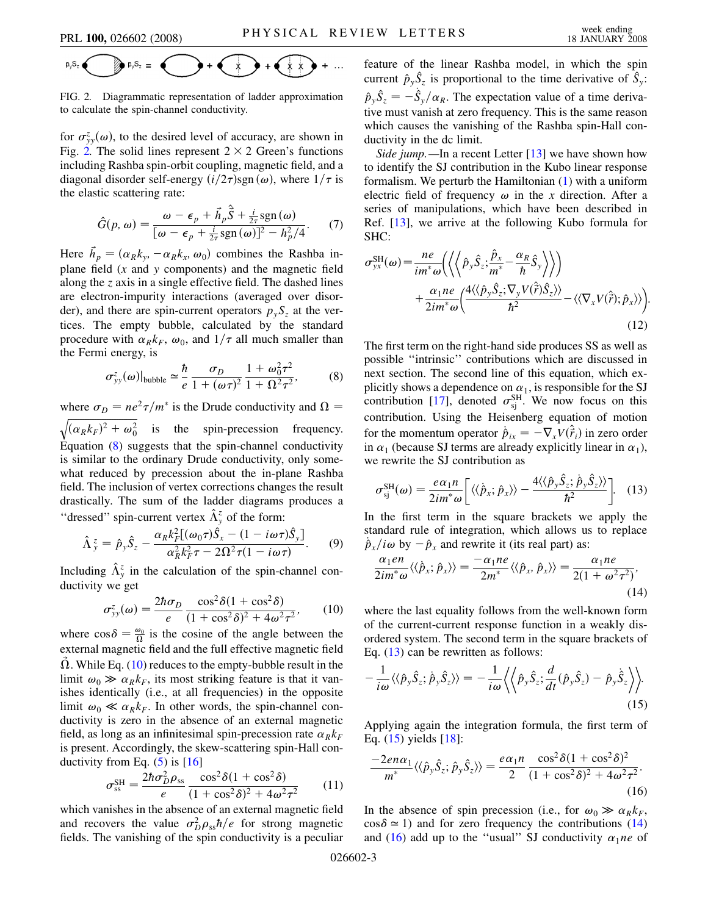<span id="page-2-0"></span>
$$
p_{\gamma}S_{z}
$$
  $\bigcirc$   $p_{\gamma}S_{z}$  =  $\bigcirc$  +  $\bigcirc$  +  $\bigcirc$  +  $\bigcirc$  + ...

FIG. 2. Diagrammatic representation of ladder approximation to calculate the spin-channel conductivity.

for  $\sigma_{yy}^z(\omega)$ , to the desired level of accuracy, are shown in Fig. [2.](#page-2-0) The solid lines represent  $2 \times 2$  Green's functions including Rashba spin-orbit coupling, magnetic field, and a diagonal disorder self-energy  $(i/2\tau)$ sgn  $(\omega)$ , where  $1/\tau$  is the elastic scattering rate:

$$
\hat{G}(p,\omega) = \frac{\omega - \epsilon_p + \vec{h}_p \hat{\vec{S}} + \frac{i}{2\tau} \text{sgn}(\omega)}{[\omega - \epsilon_p + \frac{i}{2\tau} \text{sgn}(\omega)]^2 - h_p^2/4}.
$$
 (7)

Here  $\vec{h}_p = (\alpha_R k_y, -\alpha_R k_x, \omega_0)$  combines the Rashba inplane field (*x* and *y* components) and the magnetic field along the *z* axis in a single effective field. The dashed lines are electron-impurity interactions (averaged over disorder), and there are spin-current operators  $p_y S_z$  at the vertices. The empty bubble, calculated by the standard procedure with  $\alpha_R k_F$ ,  $\omega_0$ , and  $1/\tau$  all much smaller than the Fermi energy, is

<span id="page-2-1"></span>
$$
\sigma_{yy}^z(\omega)|_{\text{bubble}} \simeq \frac{\hbar}{e} \frac{\sigma_D}{1 + (\omega \tau)^2} \frac{1 + \omega_0^2 \tau^2}{1 + \Omega^2 \tau^2},\tag{8}
$$

where  $\sigma_D = ne^2\tau/m^*$  is the Drude conductivity and  $\Omega =$  $(\alpha_R k_F)^2 + \omega_0^2$  $\overline{a}$ is the spin-precession frequency. Equation  $(8)$  $(8)$  suggests that the spin-channel conductivity is similar to the ordinary Drude conductivity, only somewhat reduced by precession about the in-plane Rashba field. The inclusion of vertex corrections changes the result drastically. The sum of the ladder diagrams produces a "dressed" spin-current vertex  $\hat{\Lambda}^z$  of the form:

$$
\hat{\Lambda}_{y}^{z} = \hat{p}_{y}\hat{S}_{z} - \frac{\alpha_{R}k_{F}^{2}[(\omega_{0}\tau)\hat{S}_{x} - (1 - i\omega\tau)\hat{S}_{y}]}{\alpha_{R}^{2}k_{F}^{2}\tau - 2\Omega^{2}\tau(1 - i\omega\tau)}.
$$
 (9)

<span id="page-2-2"></span>Including  $\hat{\Lambda}^z_y$  in the calculation of the spin-channel conductivity we get

$$
\sigma_{yy}^z(\omega) = \frac{2\hbar\sigma_D}{e} \frac{\cos^2\delta(1+\cos^2\delta)}{(1+\cos^2\delta)^2 + 4\omega^2\tau^2},\qquad(10)
$$

where  $\cos \delta = \frac{\omega_0}{\Omega}$  is the cosine of the angle between the external magnetic field and the full effective magnetic field  $\Omega$ . While Eq. [\(10\)](#page-2-2) reduces to the empty-bubble result in the limit  $\omega_0 \gg \alpha_R k_F$ , its most striking feature is that it vanishes identically (i.e., at all frequencies) in the opposite limit  $\omega_0 \ll \alpha_R k_F$ . In other words, the spin-channel conductivity is zero in the absence of an external magnetic field, as long as an infinitesimal spin-precession rate  $\alpha_R k_F$ is present. Accordingly, the skew-scattering spin-Hall conductivity from Eq.  $(5)$  is  $[16]$  $[16]$ 

$$
\sigma_{\rm ss}^{\rm SH} = \frac{2\hbar\sigma_D^2 \rho_{\rm ss}}{e} \frac{\cos^2\delta(1 + \cos^2\delta)}{(1 + \cos^2\delta)^2 + 4\omega^2\tau^2} \tag{11}
$$

which vanishes in the absence of an external magnetic field and recovers the value  $\sigma_D^2 \rho_{ss} \hbar / e$  for strong magnetic fields. The vanishing of the spin conductivity is a peculiar feature of the linear Rashba model, in which the spin current  $\hat{p}_y \hat{S}_z$  is proportional to the time derivative of  $\hat{S}_y$ :  $\hat{p}_y \hat{S}_z = -\hat{S}_y/\alpha_R$ . The expectation value of a time derivative must vanish at zero frequency. This is the same reason which causes the vanishing of the Rashba spin-Hall conductivity in the dc limit.

*Side jump.*—In a recent Letter [[13](#page-3-7)] we have shown how to identify the SJ contribution in the Kubo linear response formalism. We perturb the Hamiltonian ([1\)](#page-1-2) with a uniform electric field of frequency  $\omega$  in the *x* direction. After a series of manipulations, which have been described in Ref. [[13](#page-3-7)], we arrive at the following Kubo formula for SHC:

<span id="page-2-7"></span>
$$
\sigma_{yx}^{\text{SH}}(\omega) = \frac{ne}{im^*\omega} \Biggl( \Biggl\langle \Biggl\langle \hat{p}_y \hat{S}_z; \frac{\hat{p}_x}{m^*} - \frac{\alpha_R}{\hbar} \hat{S}_y \Biggr\rangle \Biggr\rangle \Biggr) + \frac{\alpha_1 ne}{2im^*\omega} \Biggl( \frac{4 \langle \langle \hat{p}_y \hat{S}_z; \nabla_y V(\hat{r}) \hat{S}_z \rangle \rangle}{\hbar^2} - \langle \langle \nabla_x V(\hat{r}); \hat{p}_x \rangle \rangle \Biggr).
$$
(12)

The first term on the right-hand side produces SS as well as possible ''intrinsic'' contributions which are discussed in next section. The second line of this equation, which explicitly shows a dependence on  $\alpha_1$ , is responsible for the SJ contribution [[17](#page-3-12)], denoted  $\sigma_{si}^{SH}$ . We now focus on this contribution. Using the Heisenberg equation of motion for the momentum operator  $\dot{\hat{p}}_{ix} = -\nabla_x V(\hat{\vec{r}}_i)$  in zero order in  $\alpha_1$  (because SJ terms are already explicitly linear in  $\alpha_1$ ), we rewrite the SJ contribution as

<span id="page-2-3"></span>
$$
\sigma_{sj}^{SH}(\omega) = \frac{e\alpha_1 n}{2im^*\omega} \left[ \langle \langle \hat{p}_x; \hat{p}_x \rangle \rangle - \frac{4 \langle \langle \hat{p}_y \hat{S}_z; \hat{p}_y \hat{S}_z \rangle \rangle}{\hbar^2} \right]. \quad (13)
$$

In the first term in the square brackets we apply the standard rule of integration, which allows us to replace  $\hat{p}_x/i\omega$  by  $-\hat{p}_x$  and rewrite it (its real part) as:

<span id="page-2-5"></span>
$$
\frac{\alpha_1 en}{2im^* \omega} \langle \langle \hat{p}_x; \hat{p}_x \rangle \rangle = \frac{-\alpha_1 ne}{2m^*} \langle \langle \hat{p}_x, \hat{p}_x \rangle \rangle = \frac{\alpha_1 ne}{2(1 + \omega^2 \tau^2)},
$$
\n(14)

where the last equality follows from the well-known form of the current-current response function in a weakly disordered system. The second term in the square brackets of Eq.  $(13)$  $(13)$  $(13)$  can be rewritten as follows:

<span id="page-2-4"></span>
$$
-\frac{1}{i\omega}\langle\langle \hat{p}_y \hat{S}_z; \dot{\hat{p}}_y \hat{S}_z \rangle\rangle = -\frac{1}{i\omega}\langle\langle \hat{p}_y \hat{S}_z; \frac{d}{dt}(\hat{p}_y \hat{S}_z) - \hat{p}_y \dot{\hat{S}}_z \rangle\rangle.
$$
\n(15)

Applying again the integration formula, the first term of Eq. ([15](#page-2-4)) yields [\[18\]](#page-3-13):

<span id="page-2-6"></span>
$$
\frac{-2en\alpha_1}{m^*}\langle\langle\hat{p}_y\hat{S}_z;\hat{p}_y\hat{S}_z\rangle\rangle = \frac{e\alpha_1n}{2}\frac{\cos^2\delta(1+\cos^2\delta)^2}{(1+\cos^2\delta)^2+4\omega^2\tau^2}.
$$
\n(16)

In the absence of spin precession (i.e., for  $\omega_0 \gg \alpha_R k_F$ ,  $\cos \delta \approx 1$ ) and for zero frequency the contributions [\(14\)](#page-2-5) and [\(16\)](#page-2-6) add up to the "usual" SJ conductivity  $\alpha_1 n e$  of